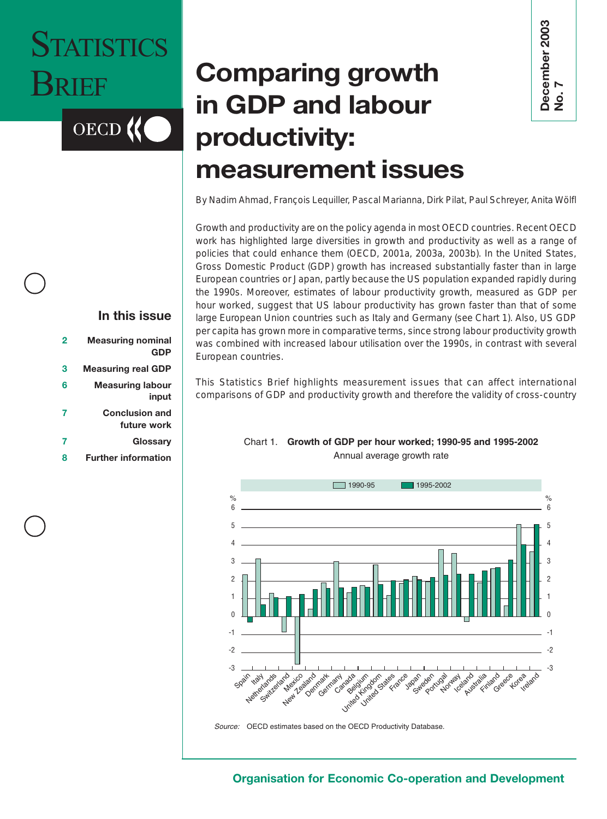# **STATISTICS** BRIEF

**OECD** 

## **Comparing growth in GDP and labour productivity: measurement issues**

By Nadim Ahmad, François Lequiller, Pascal Marianna, Dirk Pilat, Paul Schreyer, Anita Wölfl

Growth and productivity are on the policy agenda in most OECD countries. Recent OECD work has highlighted large diversities in growth and productivity as well as a range of policies that could enhance them (OECD, 2001*a*, 2003*a*, 2003*b*). In the United States, Gross Domestic Product (GDP) growth has increased substantially faster than in large European countries or Japan, partly because the US population expanded rapidly during the 1990s. Moreover, estimates of labour productivity growth, measured as GDP per hour worked, suggest that US labour productivity has grown faster than that of some large European Union countries such as Italy and Germany (see Chart 1). Also, US GDP per capita has grown more in comparative terms, since strong labour productivity growth was combined with increased labour utilisation over the 1990s, in contrast with several European countries. **Comparing growth**<br> **in GDP and labour**<br> **productivity:**<br> **productivity:**<br> **of Gowth and productivity are on the policy agenda in most of CCD countries. Recent OECD<br>
By Nadim Ahmad, François Lequiller, Pascal Marianna, Dir** 

This Statistics Brief highlights measurement issues that can affect international

#### $\mathsf{f}$ -4 3  $\overline{2}$  $\overline{1}$  $\cup$  $-1$  $\ddot{\phantom{2}}$  $-3$  $\mathsf{G}$  $\ddot{\circ}$ 4  $\mathbf{a}$  $\overline{c}$ 1  $\cup$  $-1$  $\ddot{\phantom{2}}$  $\overline{z}$ 1990-9 5 1995-2002 Spai ᠬ **K**er Netheriande **Sul** ids and **Mexica** o, New Zealand Dennart Germany canada<br>Canada  $\gamma_{\rm c}$ Sail ,00 is<br>\*00 is roann. um dom des ETarce **J**apar Sweder Portugal Norway ay and Ary strain s,  $\zeta^*$ inaco Greef e veg ve<sub>dand</sub> . .

#### Chart 1. Growth of GDP per hour worked; 1990-95 and 1995-2002 Annual average growth rate

Source: OECD estimates based on the OECD Productivity Database.

#### **In this issue**

| <b>Measuring nominal</b>  | $\overline{2}$ |
|---------------------------|----------------|
| <b>GDP</b>                |                |
| <b>Measuring real GDP</b> | 3              |
| <b>Measuring labour</b>   | 6              |
| input                     |                |
| <b>Conclusion and</b>     | 7              |
| future work               |                |

- **7 [Glossary](#page-6-0)**
- **8 [Further information](#page-7-0)**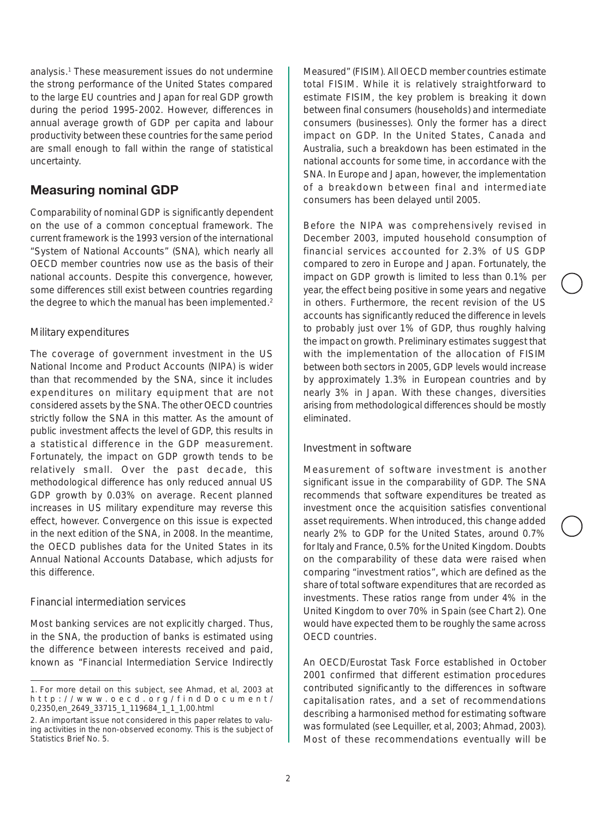<span id="page-1-0"></span>analysis.<sup>1</sup> These measurement issues do not undermine the strong performance of the United States compared to the large EU countries and Japan for real GDP growth during the period 1995-2002. However, differences in annual average growth of GDP per capita and labour productivity between these countries for the same period are small enough to fall within the range of statistical uncertainty.

#### **Measuring nominal GDP**

Comparability of nominal GDP is significantly dependent on the use of a common conceptual framework. The current framework is the 1993 version of the international "System of National Accounts" (SNA), which nearly all OECD member countries now use as the basis of their national accounts. Despite this convergence, however, some differences still exist between countries regarding the degree to which the manual has been implemented.<sup>2</sup>

#### *Military expenditures*

The coverage of government investment in the US National Income and Product Accounts (NIPA) is wider than that recommended by the SNA, since it includes expenditures on military equipment that are not considered assets by the SNA. The other OECD countries strictly follow the SNA in this matter. As the amount of public investment affects the level of GDP, this results in a statistical difference in the GDP measurement. Fortunately, the impact on GDP *growth* tends to be relatively small. Over the past decade, this methodological difference has only reduced annual US GDP growth by 0.03% on average. Recent planned increases in US military expenditure may reverse this effect, however. Convergence on this issue is expected in the next edition of the SNA, in 2008. In the meantime, the OECD publishes data for the United States in its Annual National Accounts Database, which adjusts for this difference.

#### *Financial intermediation services*

Most banking services are not explicitly charged. Thus, in the SNA, the production of banks is estimated using the difference between interests received and paid, known as "Financial Intermediation Service Indirectly Measured" (FISIM). All OECD member countries estimate total FISIM. While it is relatively straightforward to estimate FISIM, the key problem is breaking it down between final consumers (households) and intermediate consumers (businesses). Only the former has a direct impact on GDP. In the United States, Canada and Australia, such a breakdown has been estimated in the national accounts for some time, in accordance with the SNA. In Europe and Japan, however, the implementation of a breakdown between final and intermediate consumers has been delayed until 2005.

Before the NIPA was comprehensively revised in December 2003, imputed household consumption of financial services accounted for 2.3% of US GDP compared to zero in Europe and Japan. Fortunately, the impact on GDP *growth* is limited to less than 0.1% per year, the effect being positive in some years and negative in others. Furthermore, the recent revision of the US accounts has significantly reduced the difference in levels to probably just over 1% of GDP, thus roughly halving the impact on growth. Preliminary estimates suggest that with the implementation of the allocation of FISIM between both sectors in 2005, GDP levels would increase by approximately 1.3% in European countries and by nearly 3% in Japan. With these changes, diversities arising from methodological differences should be mostly eliminated.

#### *Investment in software*

Measurement of software investment is another significant issue in the comparability of GDP. The SNA recommends that software expenditures be treated as investment once the acquisition satisfies conventional asset requirements. When introduced, this change added nearly 2% to GDP for the United States, around 0.7% for Italy and France, 0.5% for the United Kingdom. Doubts on the comparability of these data were raised when comparing "investment ratios", which are defined as the share of total software expenditures that are recorded as investments. These ratios range from under 4% in the United Kingdom to over 70% in Spain (see Chart 2). One would have expected them to be roughly the same across OECD countries.

An OECD/Eurostat Task Force established in October 2001 confirmed that different estimation procedures contributed significantly to the differences in software capitalisation rates, and a set of recommendations describing a harmonised method for estimating software was formulated (see Lequiller, *et al*, 2003; Ahmad, 2003). Most of these recommendations eventually will be

<sup>1.</sup> For more detail on this subject, see Ahmad, *et al*, 2003 at http://www.oecd.org/findDocument/ 0,2350,en\_2649\_33715\_1\_119684\_1\_1\_1,00.html

<sup>2.</sup> An important issue not considered in this paper relates to valuing activities in the non-observed economy. This is the subject of Statistics Brief No. 5.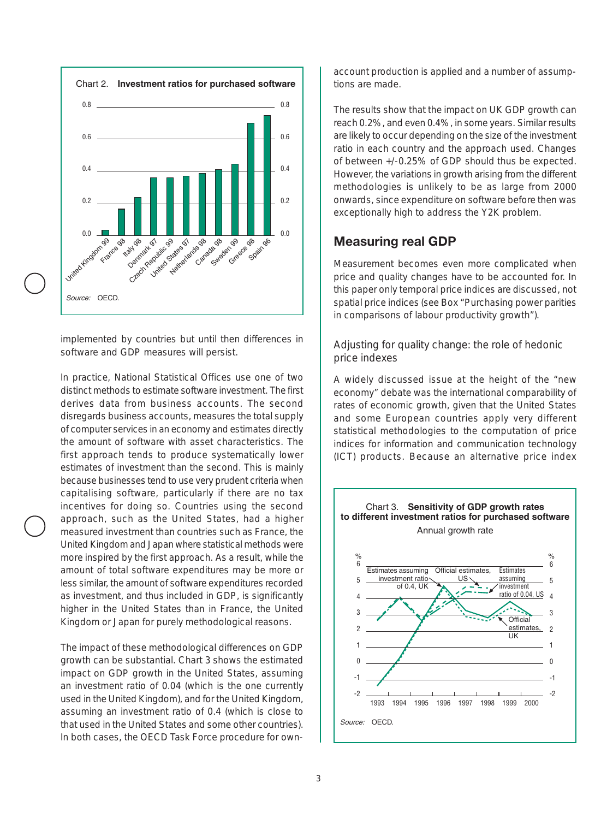<span id="page-2-0"></span>

implemented by countries but until then differences in software and GDP measures will persist.

In practice, National Statistical Offices use one of two distinct methods to estimate software investment. The first derives data from business accounts. The second disregards business accounts, measures the total supply of computer services in an economy and estimates directly the amount of software with asset characteristics. The first approach tends to produce systematically lower estimates of investment than the second. This is mainly because businesses tend to use very prudent criteria when capitalising software, particularly if there are no tax incentives for doing so. Countries using the second approach, such as the United States, had a higher measured investment than countries such as France, the United Kingdom and Japan where statistical methods were more inspired by the first approach. As a result, while the amount of total software expenditures may be more or less similar, the amount of software expenditures recorded as investment, *and thus included in GDP*, is significantly higher in the United States than in France, the United Kingdom or Japan for purely methodological reasons.

The impact of these methodological differences on GDP growth can be substantial. Chart 3 shows the estimated impact on GDP growth in the United States, assuming an investment ratio of 0.04 (which is the one currently used in the United Kingdom), and for the United Kingdom, assuming an investment ratio of 0.4 (which is close to that used in the United States and some other countries). In both cases, the OECD Task Force procedure for ownaccount production is applied and a number of assumptions are made.

The results show that the impact on UK GDP growth can reach 0.2%, and even 0.4%, in some years. Similar results are likely to occur depending on the size of the investment ratio in each country and the approach used. Changes of between +/-0.25% of GDP should thus be expected. However, the variations in growth arising from the different methodologies is unlikely to be as large from 2000 onwards, since expenditure on software before then was exceptionally high to address the Y2K problem.

#### **Measuring real GDP**

Measurement becomes even more complicated when price and quality changes have to be accounted for. In this paper only temporal price indices are discussed, not spatial price indices (see Box "Purchasing power parities in comparisons of labour productivity growth").

#### *Adjusting for quality change: the role of hedonic price indexes*

A widely discussed issue at the height of the "new economy" debate was the international comparability of rates of economic growth, given that the United States and some European countries apply very different statistical methodologies to the computation of price indices for information and communication technology (ICT) products. Because an alternative price index

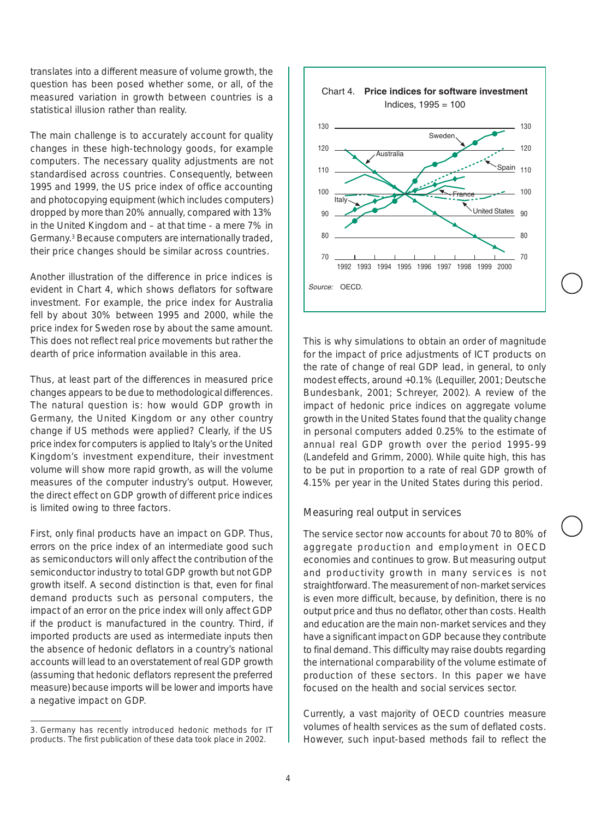translates into a different measure of volume growth, the question has been posed whether some, or all, of the measured variation in growth between countries is a statistical illusion rather than reality.

The main challenge is to accurately account for quality changes in these high-technology goods, for example computers. The necessary quality adjustments are not standardised across countries. Consequently, between 1995 and 1999, the US price index of office accounting and photocopying equipment (which includes computers) dropped by more than 20% annually, compared with 13% in the United Kingdom and – at that time - a mere 7% in Germany.3 Because computers are internationally traded, their price changes should be similar across countries.

Another illustration of the difference in price indices is evident in Chart 4, which shows deflators for software investment. For example, the price index for Australia fell by about 30% between 1995 and 2000, while the price index for Sweden rose by about the same amount. This does not reflect real price movements but rather the dearth of price information available in this area.

Thus, at least part of the differences in measured price changes appears to be due to methodological differences. The natural question is: how would GDP growth in Germany, the United Kingdom or any other country change if US methods were applied? Clearly, if the US price index for computers is applied to Italy's or the United Kingdom's investment expenditure, their investment volume will show more rapid growth, as will the volume measures of the computer industry's output. However, the direct effect on GDP growth of different price indices is limited owing to three factors.

First, only final products have an impact on GDP. Thus, errors on the price index of an intermediate good such as semiconductors will only affect the contribution of the semiconductor industry to total GDP growth but not GDP growth itself. A second distinction is that, even for final demand products such as personal computers, the impact of an error on the price index will only affect GDP if the product is manufactured in the country. Third, if imported products are used as intermediate inputs then the absence of hedonic deflators in a country's national accounts will lead to an *overstatement* of real GDP growth (assuming that hedonic deflators represent the preferred measure) because imports will be lower and imports have a negative impact on GDP.



This is why simulations to obtain an order of magnitude for the impact of price adjustments of ICT products on the rate of change of real GDP lead, in general, to only modest effects, around +0.1% (Lequiller, 2001; Deutsche Bundesbank, 2001; Schreyer, 2002). A review of the impact of hedonic price indices on aggregate volume growth in the United States found that the quality change in personal computers added 0.25% to the estimate of annual real GDP growth over the period 1995-99 (Landefeld and Grimm, 2000). While quite high, this has to be put in proportion to a rate of real GDP growth of 4.15% per year in the United States during this period.

#### *Measuring real output in services*

The service sector now accounts for about 70 to 80% of aggregate production and employment in OECD economies and continues to grow. But measuring output and productivity growth in many services is not straightforward. The measurement of *non-market services* is even more difficult, because, by definition, there is no output price and thus no deflator, other than costs. Health and education are the main non-market services and they have a significant impact on GDP because they contribute to final demand. This difficulty may raise doubts regarding the international comparability of the volume estimate of production of these sectors. In this paper we have focused on the health and social services sector.

Currently, a vast majority of OECD countries measure volumes of health services as the sum of deflated costs. However, such input-based methods fail to reflect the

<sup>3.</sup> Germany has recently introduced hedonic methods for IT products. The first publication of these data took place in 2002.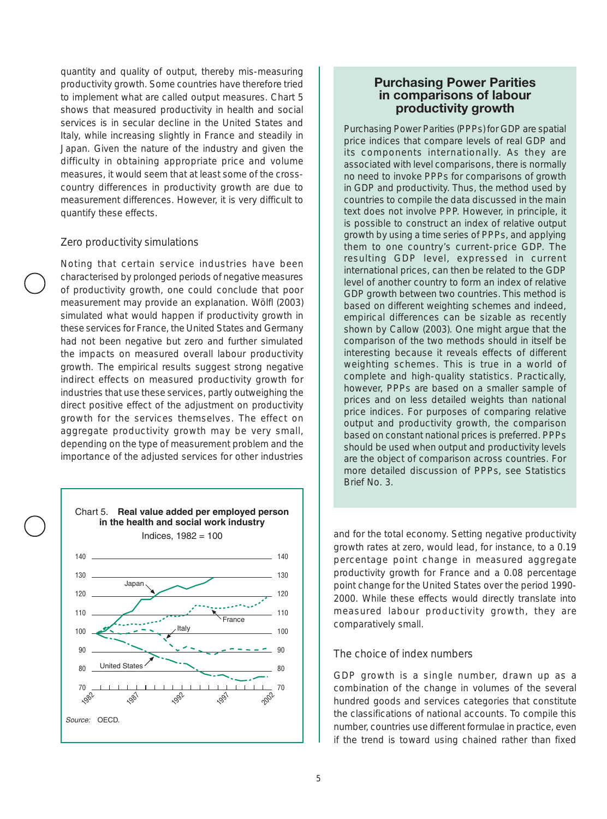quantity and quality of output, thereby mis-measuring productivity growth. Some countries have therefore tried to implement what are called output measures. Chart 5 shows that measured productivity in health and social services is in secular decline in the United States and Italy, while increasing slightly in France and steadily in Japan. Given the nature of the industry and given the difficulty in obtaining appropriate price and volume measures, it would seem that at least some of the crosscountry differences in productivity growth are due to measurement differences. However, it is very difficult to quantify these effects.

#### *Zero productivity simulations*

Noting that certain service industries have been characterised by prolonged periods of negative measures of productivity growth, one could conclude that poor measurement may provide an explanation. Wölfl (2003) simulated what would happen if productivity growth in these services for France, the United States and Germany had not been negative but zero and further simulated the impacts on measured overall labour productivity growth. The empirical results suggest strong negative indirect effects on measured productivity growth for industries that use these services, partly outweighing the direct positive effect of the adjustment on productivity growth for the services themselves. The effect on aggregate productivity growth may be very small, depending on the type of measurement problem and the importance of the adjusted services for other industries



#### **Purchasing Power Parities in comparisons of labour productivity growth**

Purchasing Power Parities (PPPs) for GDP are spatial price indices that compare levels of real GDP and its components internationally. As they are associated with level comparisons, there is normally no need to invoke PPPs for comparisons of growth in GDP and productivity. Thus, the method used by countries to compile the data discussed in the main text does not involve PPP. However, in principle, it is possible to construct an index of relative output growth by using a time series of PPPs, and applying them to one country's current-price GDP. The resulting GDP level, expressed in current international prices, can then be related to the GDP level of another country to form an index of relative GDP growth between two countries. This method is based on different weighting schemes and indeed, empirical differences can be sizable as recently shown by Callow (2003). One might argue that the comparison of the two methods should in itself be interesting because it reveals effects of different weighting schemes. This is true in a world of complete and high-quality statistics. Practically, however, PPPs are based on a smaller sample of prices and on less detailed weights than national price indices. For purposes of comparing relative output and productivity growth, the comparison based on constant national prices is preferred. PPPs should be used when output and productivity levels are the object of comparison across countries. For more detailed discussion of PPPs, see Statistics Brief No. 3.

and for the total economy. Setting negative productivity growth rates at zero, would lead, for instance, to a 0.19 percentage point change in measured aggregate productivity growth for France and a 0.08 percentage point change for the United States over the period 1990- 2000. While these effects would directly translate into measured labour productivity growth, they are comparatively small.

#### *The choice of index numbers*

GDP growth is a single number, drawn up as a combination of the change in volumes of the several hundred goods and services categories that constitute the classifications of national accounts. To compile this number, countries use different formulae in practice, even if the trend is toward using chained rather than fixed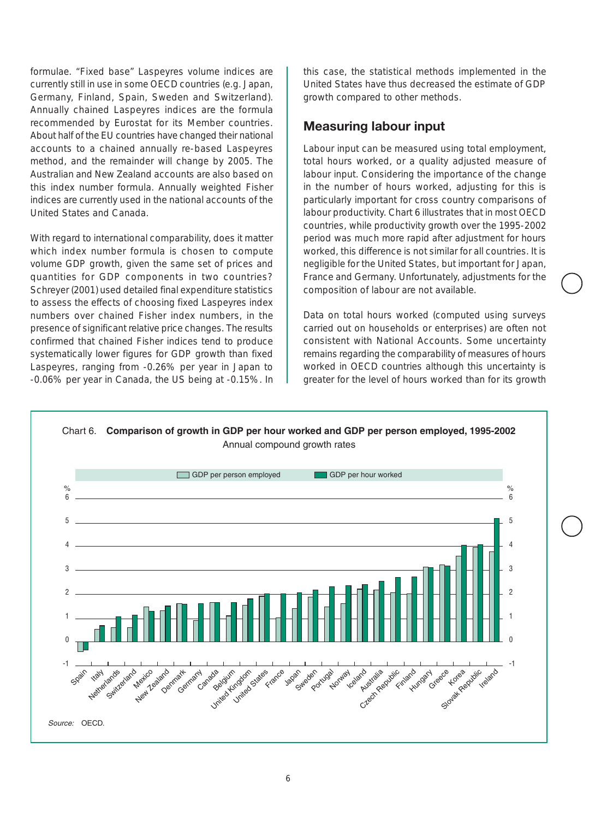<span id="page-5-0"></span>formulae. "Fixed base" Laspeyres volume indices are currently still in use in some OECD countries (e.g. Japan, Germany, Finland, Spain, Sweden and Switzerland). Annually chained Laspeyres indices are the formula recommended by Eurostat for its Member countries. About half of the EU countries have changed their national accounts to a chained annually re-based Laspeyres method, and the remainder will change by 2005. The Australian and New Zealand accounts are also based on this index number formula. Annually weighted Fisher indices are currently used in the national accounts of the United States and Canada.

With regard to international comparability, does it matter which index number formula is chosen to compute volume GDP growth, given the same set of prices and quantities for GDP components in two countries? Schreyer (2001) used detailed final expenditure statistics to assess the effects of choosing fixed Laspeyres index numbers over chained Fisher index numbers, in the presence of significant relative price changes. The results confirmed that chained Fisher indices tend to produce systematically lower figures for GDP growth than fixed Laspeyres, ranging from -0.26% per year in Japan to -0.06% per year in Canada, the US being at -0.15%. In this case, the statistical methods implemented in the United States have thus decreased the estimate of GDP growth compared to other methods.

#### **Measuring labour input**

Labour input can be measured using total employment, total hours worked, or a quality adjusted measure of labour input. Considering the importance of the change in the number of hours worked, adjusting for this is particularly important for cross country comparisons of labour productivity. Chart 6 illustrates that in most OECD countries, while productivity growth over the 1995-2002 period was much more rapid after adjustment for hours worked, this difference is not similar for all countries. It is negligible for the United States, but important for Japan, France and Germany. Unfortunately, adjustments for the composition of labour are not available.

Data on total hours worked (computed using surveys carried out on households or enterprises) are often not consistent with National Accounts. Some uncertainty remains regarding the comparability of measures of hours worked in OECD countries although this uncertainty is greater for the level of hours worked than for its growth

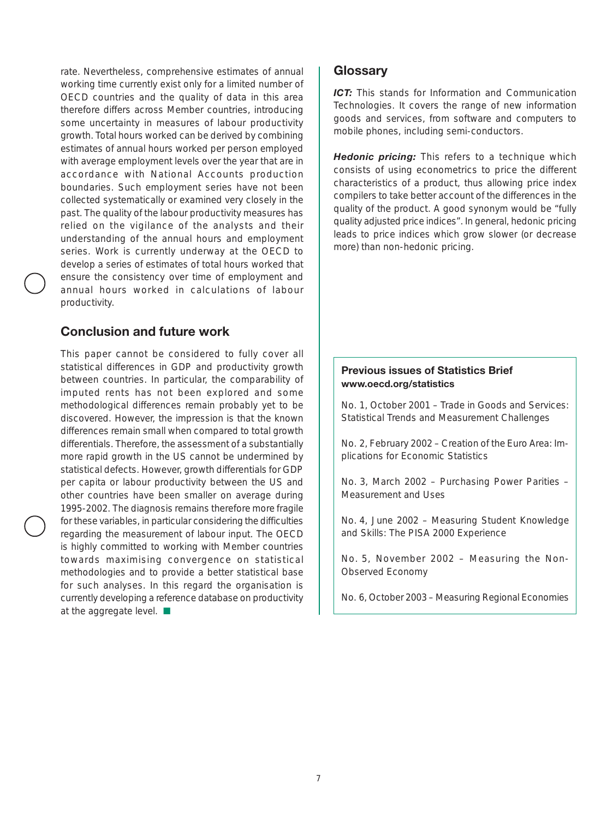<span id="page-6-0"></span>rate. Nevertheless, comprehensive estimates of annual working time currently exist only for a limited number of OECD countries and the quality of data in this area therefore differs across Member countries, introducing some uncertainty in measures of labour productivity growth. Total hours worked can be derived by combining estimates of annual hours worked per person employed with average employment levels over the year that are in accordance with National Accounts production boundaries. Such employment series have not been collected systematically or examined very closely in the past. The quality of the labour productivity measures has relied on the vigilance of the analysts and their understanding of the annual hours and employment series. Work is currently underway at the OECD to develop a series of estimates of total hours worked that ensure the consistency over time of employment and annual hours worked in calculations of labour productivity.

#### **Conclusion and future work**

This paper cannot be considered to fully cover all statistical differences in GDP and productivity growth between countries. In particular, the comparability of imputed rents has not been explored and some methodological differences remain probably yet to be discovered. However, the impression is that the known differences remain small when compared to total growth differentials. Therefore, the assessment of a substantially more rapid growth in the US cannot be undermined by statistical defects. However, growth differentials for GDP per capita or labour productivity between the US and other countries have been smaller on average during 1995-2002. The diagnosis remains therefore more fragile for these variables, in particular considering the difficulties regarding the measurement of labour input. The OECD is highly committed to working with Member countries towards maximising convergence on statistical methodologies and to provide a better statistical base for such analyses. In this regard the organisation is currently developing a reference database on productivity at the aggregate level. ■

#### **Glossary**

*ICT:* This stands for Information and Communication Technologies. It covers the range of new information goods and services, from software and computers to mobile phones, including semi-conductors.

*Hedonic pricing:* This refers to a technique which consists of using econometrics to price the different characteristics of a product, thus allowing price index compilers to take better account of the differences in the quality of the product. A good synonym would be "fully quality adjusted price indices". In general, hedonic pricing leads to price indices which grow slower (or decrease more) than non-hedonic pricing.

#### **Previous issues of Statistics Brief www.oecd.org/statistics**

No. 1, October 2001 – Trade in Goods and Services: Statistical Trends and Measurement Challenges

No. 2, February 2002 – Creation of the Euro Area: Implications for Economic Statistics

No. 3, March 2002 – Purchasing Power Parities – Measurement and Uses

No. 4, June 2002 – Measuring Student Knowledge and Skills: The PISA 2000 Experience

No. 5, November 2002 – Measuring the Non-Observed Economy

No. 6, October 2003 – Measuring Regional Economies